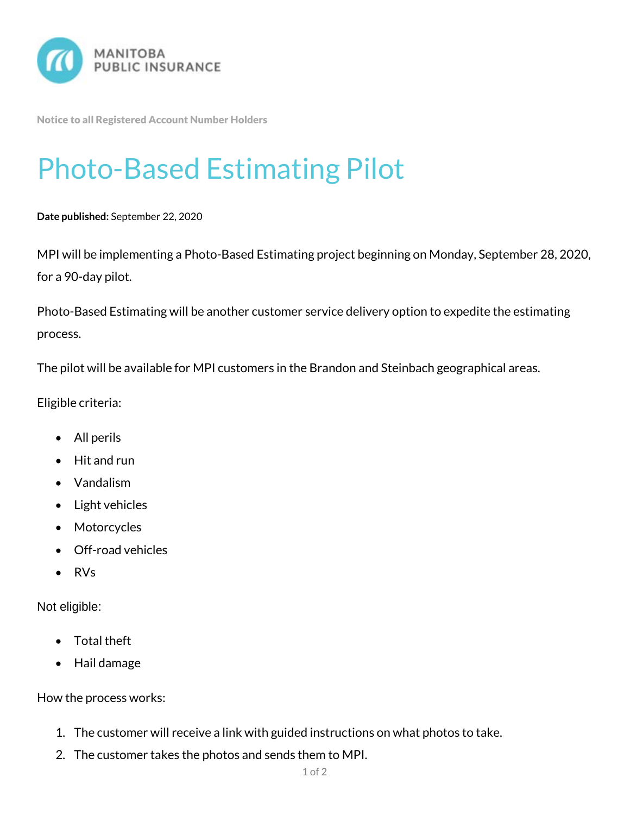

Notice to all Registered Account Number Holders

## Photo-Based Estimating Pilot

## **Date published:** September 22, 2020

MPI will be implementing a Photo-Based Estimating project beginning on Monday, September 28, 2020, for a 90-day pilot.

Photo-Based Estimating will be another customer service delivery option to expedite the estimating process.

The pilot will be available for MPI customers in the Brandon and Steinbach geographical areas.

Eligible criteria:

- All perils
- Hit and run
- Vandalism
- Light vehicles
- Motorcycles
- Off-road vehicles
- RVs

Not eligible:

- Total theft
- Hail damage

How the process works:

- 1. The customer will receive a link with guided instructions on what photos to take.
- 2. The customer takes the photos and sends them to MPI.